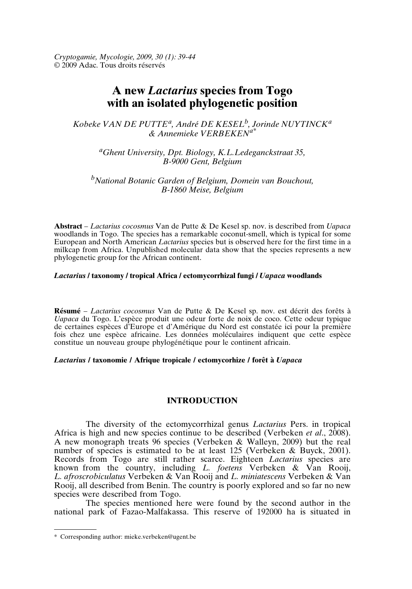*Cryptogamie, Mycologie, 2009, 30 (1): 39-44* © 2009 Adac. Tous droits réservés

# **A new** *Lactarius* **species from Togo with an isolated phylogenetic position**

*Kobeke VAN DE PUTTE<sup>a</sup> , André DE KESEL<sup>b</sup> , Jorinde NUYTINCK<sup>a</sup> & Annemieke VERBEKENa\**

*<sup>a</sup>Ghent University, Dpt. Biology, K.L.Ledeganckstraat 35, B-9000 Gent, Belgium*

*<sup>b</sup>National Botanic Garden of Belgium, Domein van Bouchout, B-1860 Meise, Belgium*

**Abstract** – *Lactarius cocosmus* Van de Putte & De Kesel sp. nov. is described from *Uapaca* woodlands in Togo. The species has a remarkable coconut-smell, which is typical for some European and North American *Lactarius* species but is observed here for the first time in a milkcap from Africa. Unpublished molecular data show that the species represents a new phylogenetic group for the African continent.

# *Lactarius* **/ taxonomy / tropical Africa / ectomycorrhizal fungi /** *Uapaca* **woodlands**

**Résumé** – *Lactarius cocosmus* Van de Putte & De Kesel sp. nov. est décrit des forêts à *Uapaca* du Togo. L'espèce produit une odeur forte de noix de coco. Cette odeur typique de certaines espèces d'Europe et d'Amérique du Nord est constatée ici pour la première fois chez une espèce africaine. Les données moléculaires indiquent que cette espèce constitue un nouveau groupe phylogénétique pour le continent africain.

## *Lactarius* **/ taxonomie / Afrique tropicale / ectomycorhize / forêt à** *Uapaca*

## **INTRODUCTION**

The diversity of the ectomycorrhizal genus *Lactarius* Pers. in tropical Africa is high and new species continue to be described (Verbeken *et al*., 2008). A new monograph treats 96 species (Verbeken & Walleyn, 2009) but the real number of species is estimated to be at least 125 (Verbeken & Buyck, 2001). Records from Togo are still rather scarce. Eighteen *Lactarius* species are known from the country, including *L. foetens* Verbeken & Van Rooij, *L. afroscrobiculatus* Verbeken & Van Rooij and *L. miniatescens* Verbeken & Van Rooij, all described from Benin. The country is poorly explored and so far no new species were described from Togo.

The species mentioned here were found by the second author in the national park of Fazao-Malfakassa. This reserve of 192000 ha is situated in

<sup>\*</sup> Corresponding author: mieke.verbeken@ugent.be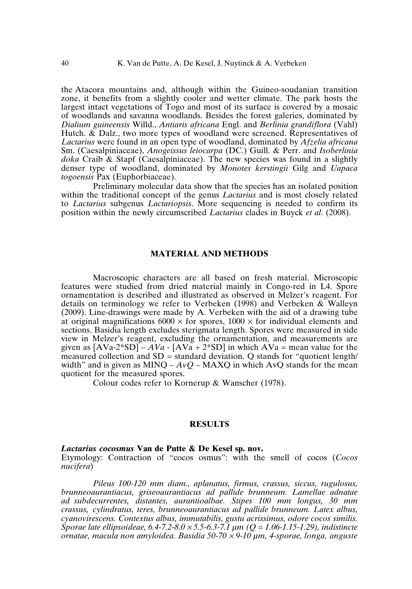the Atacora mountains and, although within the Guineo-soudanian transition zone, it benefits from a slightly cooler and wetter climate. The park hosts the largest intact vegetations of Togo and most of its surface is covered by a mosaic of woodlands and savanna woodlands. Besides the forest galeries, dominated by *Dialium guineensis* Willd., *Antiaris africana* Engl. and *Berlinia grandiflora* (Vahl) Hutch.  $\&$  Dalz., two more types of woodland were screened. Representatives of *Lactarius* were found in an open type of woodland, dominated by *Afzelia africana* Sm. (Caesalpiniaceae), *Anogeissus leiocarpa* (DC.) Guill. & Perr. and *Isoberlinia doka* Craib & Stapf (Caesalpiniaceae). The new species was found in a slightly denser type of woodland, dominated by *Monotes kerstingii* Gilg and *Uapaca togoensis* Pax (Euphorbiaceae).

Preliminary molecular data show that the species has an isolated position within the traditional concept of the genus *Lactarius* and is most closely related to *Lactarius* subgenus *Lactariopsis*. More sequencing is needed to confirm its position within the newly circumscribed *Lactarius* clades in Buyck *et al*. (2008).

#### **MATERIAL AND METHODS**

Macroscopic characters are all based on fresh material. Microscopic features were studied from dried material mainly in Congo-red in L4. Spore ornamentation is described and illustrated as observed in Melzer's reagent. For details on terminology we refer to Verbeken (1998) and Verbeken & Walleyn (2009). Line-drawings were made by A. Verbeken with the aid of a drawing tube at original magnifications  $6000 \times$  for spores,  $1000 \times$  for individual elements and sections. Basidia length excludes sterigmata length. Spores were measured in side view in Melzer's reagent, excluding the ornamentation, and measurements are given as  $[AVa-2*SD] - AVa - [AVa + 2*SD]$  in which  $AVa$  = mean value for the measured collection and  $SD =$  standard deviation. O stands for "quotient length" width" and is given as MINQ –  $AvQ$  – MAXQ in which AvQ stands for the mean quotient for the measured spores.

Colour codes refer to Kornerup & Wanscher (1978).

## **RESULTS**

#### *Lactarius cocosmus* **Van de Putte & De Kesel sp. nov.**

Etymology: Contraction of "cocos osmus": with the smell of cocos (*Cocos nucifera*)

*Pileus 100-120 mm diam., aplanatus, firmus, crassus, siccus, rugulosus, brunneoaurantiacus, griseoaurantiacus ad pallide brunneum. Lamellae adnatae ad subdecurrentes, distantes, aurantioalbae. Stipes 100 mm longus, 30 mm crassus, cylindratus, teres, brunneoaurantiacus ad pallide brunneum. Latex albus, cyanovirescens. Contextus albus, immutabilis, gustu acrissimus, odore cocos similis. Sporae late ellipsoideae, 6.4-7.2-8.0* <sup>×</sup> *5.5-6.3-7.1 µm (Q = 1.06-1.15-1.29), indistincte ornatae, macula non amyloidea. Basidia 50-70* <sup>×</sup> *9-10 µm, 4-sporae, longa, anguste*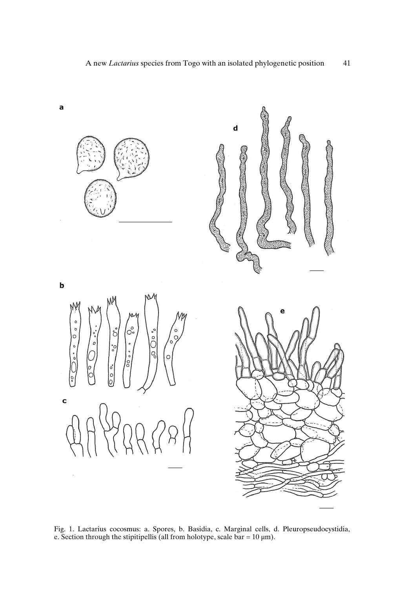

Fig. 1. Lactarius cocosmus: a. Spores, b. Basidia, c. Marginal cells, d. Pleuropseudocystidia, e. Section through the stipitipellis (all from holotype, scale bar =  $10 \mu m$ ).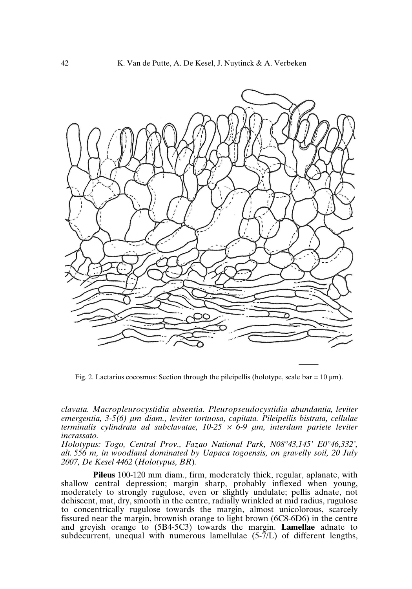

Fig. 2. Lactarius cocosmus: Section through the pileipellis (holotype, scale bar =  $10 \mu m$ ).

*clavata. Macropleurocystidia absentia. Pleuropseudocystidia abundantia, leviter emergentia, 3-5(6) µm diam., leviter tortuosa, capitata. Pileipellis bistrata, cellulae terminalis cylindrata ad subclavatae, 10-25* <sup>×</sup> *6-9 µm, interdum pariete leviter incrassato.*

*Holotypus: Togo, Central Prov., Fazao National Park, N08°43,145' E0°46,332', alt. 556 m, in woodland dominated by Uapaca togoensis, on gravelly soil, 20 July 2007, De Kesel 4462* (*Holotypus, BR*)*.*

**Pileus** 100-120 mm diam., firm, moderately thick, regular, aplanate, with shallow central depression; margin sharp, probably inflexed when young, moderately to strongly rugulose, even or slightly undulate; pellis adnate, not dehiscent, mat, dry, smooth in the centre, radially wrinkled at mid radius, rugulose to concentrically rugulose towards the margin, almost unicolorous, scarcely fissured near the margin, brownish orange to light brown (6C8-6D6) in the centre and greyish orange to (5B4-5C3) towards the margin. **Lamellae** adnate to subdecurrent, unequal with numerous lamellulae (5-7/L) of different lengths,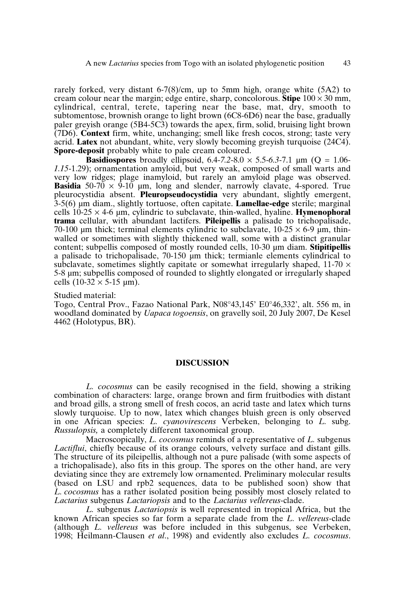rarely forked, very distant 6-7(8)/cm, up to 5mm high, orange white (5A2) to cream colour near the margin; edge entire, sharp, concolorous. **Stipe**  $100 \times 30$  mm, cylindrical, central, terete, tapering near the base, mat, dry, smooth to subtomentose, brownish orange to light brown (6C8-6D6) near the base, gradually paler greyish orange (5B4-5C3) towards the apex, firm, solid, bruising light brown (7D6). **Context** firm, white, unchanging; smell like fresh cocos, strong; taste very acrid. **Latex** not abundant, white, very slowly becoming greyish turquoise (24C4). **Spore-deposit** probably white to pale cream coloured.

**Basidiospores** broadly ellipsoid,  $6.4 - 7.2 - 8.0 \times 5.5 - 6.3 - 7.1 \mu m$  ( $Q = 1.06$ -*1.15*-1.29); ornamentation amyloid, but very weak, composed of small warts and very low ridges; plage inamyloid, but rarely an amyloid plage was observed. **Basidia** 50-70  $\times$  9-10 µm, long and slender, narrowly clavate, 4-spored. True pleurocystidia absent. **Pleuropseudocystidia** very abundant, slightly emergent, 3-5(6) µm diam., slightly tortuose, often capitate. **Lamellae-edge** sterile; marginal cells  $10-25 \times 4-6$  µm, cylindric to subclavate, thin-walled, hyaline. **Hymenophoral trama** cellular, with abundant lactifers. **Pileipellis** a palisade to trichopalisade, 70-100 µm thick; terminal elements cylindric to subclavate,  $10{\text -}25 \times 6{\text -}9$  µm, thinwalled or sometimes with slightly thickened wall, some with a distinct granular content; subpellis composed of mostly rounded cells, 10-30 µm diam. **Stipitipellis** a palisade to trichopalisade, 70-150 µm thick; termianle elements cylindrical to subclavate, sometimes slightly capitate or somewhat irregularly shaped,  $11-70 \times$ 5-8 µm; subpellis composed of rounded to slightly elongated or irregularly shaped cells  $(10-32 \times 5-15 \text{ µm})$ .

# Studied material:

Togo, Central Prov., Fazao National Park, N08°43,145' E0°46,332', alt. 556 m, in woodland dominated by *Uapaca togoensis*, on gravelly soil, 20 July 2007, De Kesel 4462 (Holotypus, BR).

#### **DISCUSSION**

*L. cocosmus* can be easily recognised in the field, showing a striking combination of characters: large, orange brown and firm fruitbodies with distant and broad gills, a strong smell of fresh cocos, an acrid taste and latex which turns slowly turquoise. Up to now, latex which changes bluish green is only observed in one African species: *L. cyanovirescens* Verbeken, belonging to *L.* subg. *Russulopsis,* a completely different taxonomical group.

Macroscopically, *L. cocosmus* reminds of a representative of *L.* subgenus *Lactiflui*, chiefly because of its orange colours, velvety surface and distant gills. The structure of its pileipellis, although not a pure palisade (with some aspects of a trichopalisade), also fits in this group. The spores on the other hand, are very deviating since they are extremely low ornamented. Preliminary molecular results (based on LSU and rpb2 sequences, data to be published soon) show that *L. cocosmus* has a rather isolated position being possibly most closely related to *Lactarius* subgenus *Lactariopsis* and to the *Lactarius vellereus*-clade.

*L.* subgenus *Lactariopsis* is well represented in tropical Africa, but the known African species so far form a separate clade from the *L. vellereus*-clade (although *L. vellereus* was before included in this subgenus, see Verbeken, 1998; Heilmann-Clausen *et al*., 1998) and evidently also excludes *L. cocosmus*.